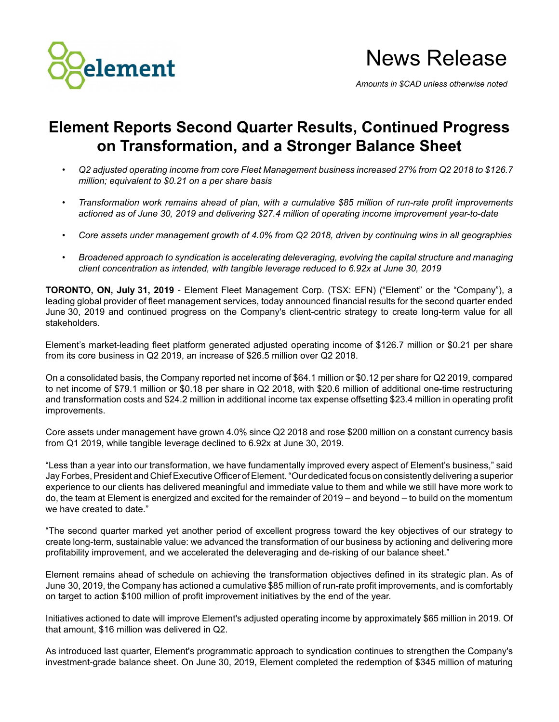

*Amounts in \$CAD unless otherwise noted*

# **Element Reports Second Quarter Results, Continued Progress on Transformation, and a Stronger Balance Sheet**

- *Q2 adjusted operating income from core Fleet Management business increased 27% from Q2 2018 to \$126.7 million; equivalent to \$0.21 on a per share basis*
- *Transformation work remains ahead of plan, with a cumulative \$85 million of run-rate profit improvements actioned as of June 30, 2019 and delivering \$27.4 million of operating income improvement year-to-date*
- *Core assets under management growth of 4.0% from Q2 2018, driven by continuing wins in all geographies*
- *Broadened approach to syndication is accelerating deleveraging, evolving the capital structure and managing client concentration as intended, with tangible leverage reduced to 6.92x at June 30, 2019*

**TORONTO, ON, July 31, 2019** - Element Fleet Management Corp. (TSX: EFN) ("Element" or the "Company"), a leading global provider of fleet management services, today announced financial results for the second quarter ended June 30, 2019 and continued progress on the Company's client-centric strategy to create long-term value for all stakeholders.

Element's market-leading fleet platform generated adjusted operating income of \$126.7 million or \$0.21 per share from its core business in Q2 2019, an increase of \$26.5 million over Q2 2018.

On a consolidated basis, the Company reported net income of \$64.1 million or \$0.12 per share for Q2 2019, compared to net income of \$79.1 million or \$0.18 per share in Q2 2018, with \$20.6 million of additional one-time restructuring and transformation costs and \$24.2 million in additional income tax expense offsetting \$23.4 million in operating profit improvements.

Core assets under management have grown 4.0% since Q2 2018 and rose \$200 million on a constant currency basis from Q1 2019, while tangible leverage declined to 6.92x at June 30, 2019.

"Less than a year into our transformation, we have fundamentally improved every aspect of Element's business," said Jay Forbes, President and Chief Executive Officer of Element. "Our dedicated focus on consistently delivering a superior experience to our clients has delivered meaningful and immediate value to them and while we still have more work to do, the team at Element is energized and excited for the remainder of 2019 – and beyond – to build on the momentum we have created to date."

"The second quarter marked yet another period of excellent progress toward the key objectives of our strategy to create long-term, sustainable value: we advanced the transformation of our business by actioning and delivering more profitability improvement, and we accelerated the deleveraging and de-risking of our balance sheet."

Element remains ahead of schedule on achieving the transformation objectives defined in its strategic plan. As of June 30, 2019, the Company has actioned a cumulative \$85 millionof run-rate profit improvements, and is comfortably on target to action \$100 million of profit improvement initiatives by the end of the year.

Initiatives actioned to date will improve Element's adjusted operating income by approximately \$65 million in 2019. Of that amount, \$16 million was delivered in Q2.

As introduced last quarter, Element's programmatic approach to syndication continues to strengthen the Company's investment-grade balance sheet. On June 30, 2019, Element completed the redemption of \$345 million of maturing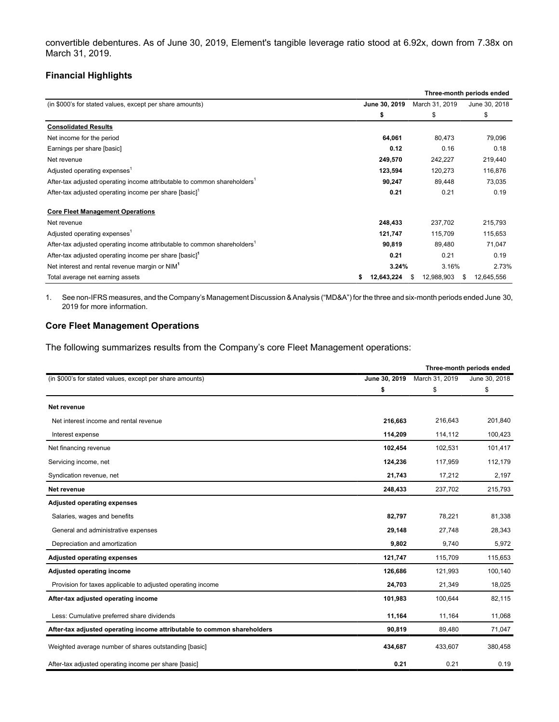convertible debentures. As of June 30, 2019, Element's tangible leverage ratio stood at 6.92x, down from 7.38x on March 31, 2019.

## **Financial Highlights**

|                                                                                      |               |                 | Three-month periods ended |
|--------------------------------------------------------------------------------------|---------------|-----------------|---------------------------|
| (in \$000's for stated values, except per share amounts)                             | June 30, 2019 | March 31, 2019  | June 30, 2018             |
|                                                                                      | \$            | \$              | \$                        |
| <b>Consolidated Results</b>                                                          |               |                 |                           |
| Net income for the period                                                            | 64,061        | 80,473          | 79,096                    |
| Earnings per share [basic]                                                           | 0.12          | 0.16            | 0.18                      |
| Net revenue                                                                          | 249,570       | 242,227         | 219,440                   |
| Adjusted operating expenses <sup>1</sup>                                             | 123,594       | 120,273         | 116,876                   |
| After-tax adjusted operating income attributable to common shareholders <sup>1</sup> | 90,247        | 89,448          | 73,035                    |
| After-tax adjusted operating income per share [basic] <sup>1</sup>                   | 0.21          | 0.21            | 0.19                      |
| <b>Core Fleet Management Operations</b>                                              |               |                 |                           |
| Net revenue                                                                          | 248,433       | 237,702         | 215,793                   |
| Adjusted operating expenses <sup>1</sup>                                             | 121,747       | 115,709         | 115,653                   |
| After-tax adjusted operating income attributable to common shareholders <sup>1</sup> | 90,819        | 89,480          | 71,047                    |
| After-tax adjusted operating income per share [basic] <sup>1</sup>                   | 0.21          | 0.21            | 0.19                      |
| Net interest and rental revenue margin or NIM <sup>1</sup>                           | 3.24%         | 3.16%           | 2.73%                     |
| Total average net earning assets                                                     | 12,643,224    | 12,988,903<br>S | 12,645,556<br>\$          |

1. See non-IFRS measures, and the Company's Management Discussion & Analysis ("MD&A") for the three and six-month periods ended June 30, 2019 for more information.

## **Core Fleet Management Operations**

The following summarizes results from the Company's core Fleet Management operations:

|                                                                         | Three-month periods ended |                |               |
|-------------------------------------------------------------------------|---------------------------|----------------|---------------|
| (in \$000's for stated values, except per share amounts)                | June 30, 2019             | March 31, 2019 | June 30, 2018 |
|                                                                         | \$                        | \$             | \$            |
| Net revenue                                                             |                           |                |               |
| Net interest income and rental revenue                                  | 216,663                   | 216,643        | 201,840       |
| Interest expense                                                        | 114,209                   | 114,112        | 100,423       |
| Net financing revenue                                                   | 102,454                   | 102.531        | 101,417       |
| Servicing income, net                                                   | 124,236                   | 117,959        | 112,179       |
| Syndication revenue, net                                                | 21,743                    | 17,212         | 2,197         |
| Net revenue                                                             | 248,433                   | 237,702        | 215,793       |
| <b>Adjusted operating expenses</b>                                      |                           |                |               |
| Salaries, wages and benefits                                            | 82,797                    | 78,221         | 81,338        |
| General and administrative expenses                                     | 29,148                    | 27,748         | 28,343        |
| Depreciation and amortization                                           | 9,802                     | 9,740          | 5,972         |
| <b>Adjusted operating expenses</b>                                      | 121,747                   | 115,709        | 115,653       |
| Adjusted operating income                                               | 126,686                   | 121.993        | 100,140       |
| Provision for taxes applicable to adjusted operating income             | 24,703                    | 21,349         | 18,025        |
| After-tax adjusted operating income                                     | 101,983                   | 100,644        | 82,115        |
| Less: Cumulative preferred share dividends                              | 11,164                    | 11,164         | 11,068        |
| After-tax adjusted operating income attributable to common shareholders | 90,819                    | 89,480         | 71,047        |
| Weighted average number of shares outstanding [basic]                   | 434,687                   | 433,607        | 380,458       |
| After-tax adjusted operating income per share [basic]                   | 0.21                      | 0.21           | 0.19          |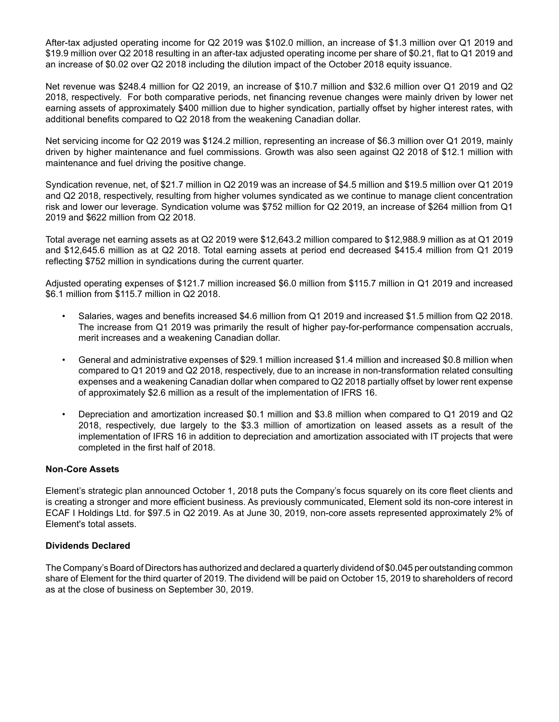After-tax adjusted operating income for Q2 2019 was \$102.0 million, an increase of \$1.3 million over Q1 2019 and \$19.9 million over Q2 2018 resulting in an after-tax adjusted operating income per share of \$0.21, flat to Q1 2019 and an increase of \$0.02 over Q2 2018 including the dilution impact of the October 2018 equity issuance.

Net revenue was \$248.4 million for Q2 2019, an increase of \$10.7 million and \$32.6 million over Q1 2019 and Q2 2018, respectively. For both comparative periods, net financing revenue changes were mainly driven by lower net earning assets of approximately \$400 million due to higher syndication, partially offset by higher interest rates, with additional benefits compared to Q2 2018 from the weakening Canadian dollar.

Net servicing income for Q2 2019 was \$124.2 million, representing an increase of \$6.3 million over Q1 2019, mainly driven by higher maintenance and fuel commissions. Growth was also seen against Q2 2018 of \$12.1 million with maintenance and fuel driving the positive change.

Syndication revenue, net, of \$21.7 million in Q2 2019 was an increase of \$4.5 million and \$19.5 million over Q1 2019 and Q2 2018, respectively, resulting from higher volumes syndicated as we continue to manage client concentration risk and lower our leverage. Syndication volume was \$752 million for Q2 2019, an increase of \$264 million from Q1 2019 and \$622 million from Q2 2018.

Total average net earning assets as at Q2 2019 were \$12,643.2 million compared to \$12,988.9 million as at Q1 2019 and \$12,645.6 million as at Q2 2018. Total earning assets at period end decreased \$415.4 million from Q1 2019 reflecting \$752 million in syndications during the current quarter.

Adjusted operating expenses of \$121.7 million increased \$6.0 million from \$115.7 million in Q1 2019 and increased \$6.1 million from \$115.7 million in Q2 2018.

- Salaries, wages and benefits increased \$4.6 million from Q1 2019 and increased \$1.5 million from Q2 2018. The increase from Q1 2019 was primarily the result of higher pay-for-performance compensation accruals, merit increases and a weakening Canadian dollar.
- General and administrative expenses of \$29.1 million increased \$1.4 million and increased \$0.8 million when compared to Q1 2019 and Q2 2018, respectively, due to an increase in non-transformation related consulting expenses and a weakening Canadian dollar when compared to Q2 2018 partially offset by lower rent expense of approximately \$2.6 million as a result of the implementation of IFRS 16.
- Depreciation and amortization increased \$0.1 million and \$3.8 million when compared to Q1 2019 and Q2 2018, respectively, due largely to the \$3.3 million of amortization on leased assets as a result of the implementation of IFRS 16 in addition to depreciation and amortization associated with IT projects that were completed in the first half of 2018.

## **Non-Core Assets**

Element's strategic plan announced October 1, 2018 puts the Company's focus squarely on its core fleet clients and is creating a stronger and more efficient business. As previously communicated, Element sold its non-core interest in ECAF I Holdings Ltd. for \$97.5 in Q2 2019. As at June 30, 2019, non-core assets represented approximately 2% of Element's total assets.

## **Dividends Declared**

The Company's Board of Directors has authorized and declared a quarterly dividend of \$0.045 per outstanding common share of Element for the third quarter of 2019. The dividend will be paid on October 15, 2019 to shareholders of record as at the close of business on September 30, 2019.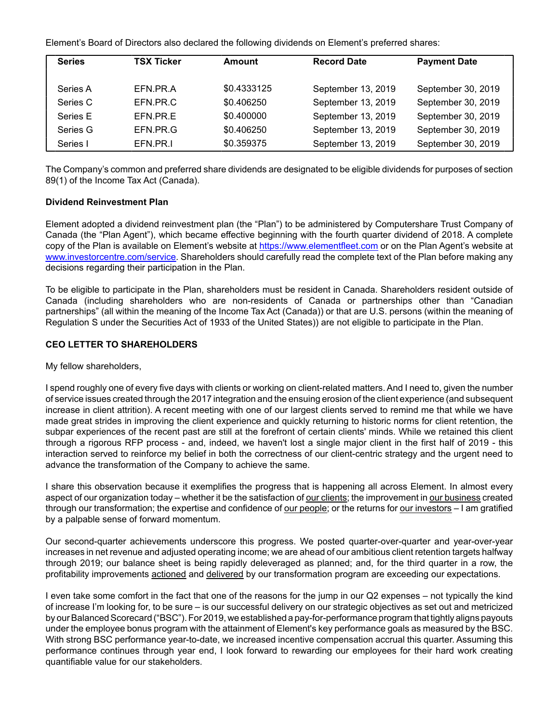Element's Board of Directors also declared the following dividends on Element's preferred shares:

| <b>Series</b> | <b>TSX Ticker</b> | Amount      | <b>Record Date</b> | <b>Payment Date</b> |
|---------------|-------------------|-------------|--------------------|---------------------|
| Series A      | EFN.PR.A          | \$0.4333125 | September 13, 2019 | September 30, 2019  |
| Series C      | EFN.PR.C          | \$0.406250  | September 13, 2019 | September 30, 2019  |
| Series E      | EFN.PR.E          | \$0.400000  | September 13, 2019 | September 30, 2019  |
| Series G      | EFN.PR.G          | \$0.406250  | September 13, 2019 | September 30, 2019  |
| Series I      | EFN.PR.I          | \$0.359375  | September 13, 2019 | September 30, 2019  |
|               |                   |             |                    |                     |

The Company's common and preferred share dividends are designated to be eligible dividends for purposes of section 89(1) of the Income Tax Act (Canada).

### **Dividend Reinvestment Plan**

Element adopted a dividend reinvestment plan (the "Plan") to be administered by Computershare Trust Company of Canada (the "Plan Agent"), which became effective beginning with the fourth quarter dividend of 2018. A complete copy of the Plan is available on Element's website at https://www.elementfleet.com or on the Plan Agent's website at www.investorcentre.com/service. Shareholders should carefully read the complete text of the Plan before making any decisions regarding their participation in the Plan.

To be eligible to participate in the Plan, shareholders must be resident in Canada. Shareholders resident outside of Canada (including shareholders who are non-residents of Canada or partnerships other than "Canadian partnerships" (all within the meaning of the Income Tax Act (Canada)) or that are U.S. persons (within the meaning of Regulation S under the Securities Act of 1933 of the United States)) are not eligible to participate in the Plan.

## **CEO LETTER TO SHAREHOLDERS**

My fellow shareholders,

I spend roughly one of every five days with clients or working on client-related matters. And I need to, given the number of service issues created through the 2017 integration and the ensuing erosion of the client experience (and subsequent increase in client attrition). A recent meeting with one of our largest clients served to remind me that while we have made great strides in improving the client experience and quickly returning to historic norms for client retention, the subpar experiences of the recent past are still at the forefront of certain clients' minds. While we retained this client through a rigorous RFP process - and, indeed, we haven't lost a single major client in the first half of 2019 - this interaction served to reinforce my belief in both the correctness of our client-centric strategy and the urgent need to advance the transformation of the Company to achieve the same.

I share this observation because it exemplifies the progress that is happening all across Element. In almost every aspect of our organization today – whether it be the satisfaction of our clients; the improvement in our business created through our transformation; the expertise and confidence of our people; or the returns for our investors – I am gratified by a palpable sense of forward momentum.

Our second-quarter achievements underscore this progress. We posted quarter-over-quarter and year-over-year increases in net revenue and adjusted operating income; we are ahead of our ambitious client retention targets halfway through 2019; our balance sheet is being rapidly deleveraged as planned; and, for the third quarter in a row, the profitability improvements actioned and delivered by our transformation program are exceeding our expectations.

I even take some comfort in the fact that one of the reasons for the jump in our Q2 expenses – not typically the kind of increase I'm looking for, to be sure – is our successful delivery on our strategic objectives as set out and metricized by our Balanced Scorecard ("BSC"). For 2019, we established a pay-for-performance program that tightly aligns payouts under the employee bonus program with the attainment of Element's key performance goals as measured by the BSC. With strong BSC performance year-to-date, we increased incentive compensation accrual this quarter. Assuming this performance continues through year end, I look forward to rewarding our employees for their hard work creating quantifiable value for our stakeholders.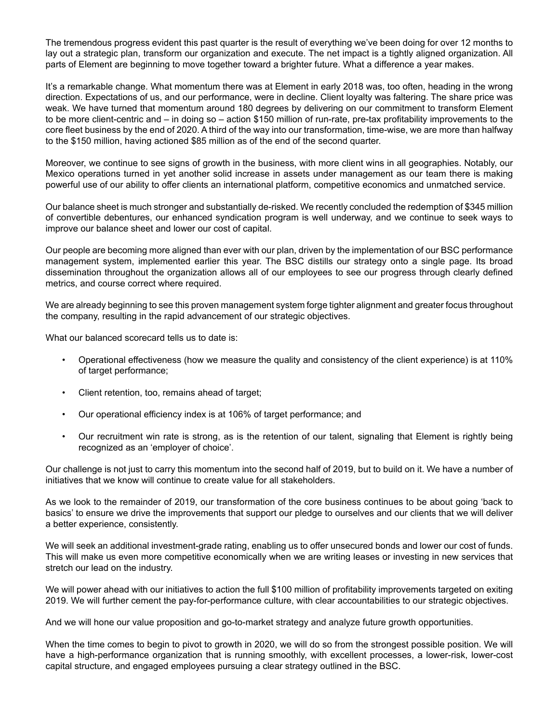The tremendous progress evident this past quarter is the result of everything we've been doing for over 12 months to lay out a strategic plan, transform our organization and execute. The net impact is a tightly aligned organization. All parts of Element are beginning to move together toward a brighter future. What a difference a year makes.

It's a remarkable change. What momentum there was at Element in early 2018 was, too often, heading in the wrong direction. Expectations of us, and our performance, were in decline. Client loyalty was faltering. The share price was weak. We have turned that momentum around 180 degrees by delivering on our commitment to transform Element to be more client-centric and – in doing so – action \$150 million of run-rate, pre-tax profitability improvements to the core fleet business by the end of 2020. A third of the way into our transformation, time-wise, we are more than halfway to the \$150 million, having actioned \$85 million as of the end of the second quarter.

Moreover, we continue to see signs of growth in the business, with more client wins in all geographies. Notably, our Mexico operations turned in yet another solid increase in assets under management as our team there is making powerful use of our ability to offer clients an international platform, competitive economics and unmatched service.

Our balance sheet is much stronger and substantially de-risked. We recently concluded the redemption of \$345 million of convertible debentures, our enhanced syndication program is well underway, and we continue to seek ways to improve our balance sheet and lower our cost of capital.

Our people are becoming more aligned than ever with our plan, driven by the implementation of our BSC performance management system, implemented earlier this year. The BSC distills our strategy onto a single page. Its broad dissemination throughout the organization allows all of our employees to see our progress through clearly defined metrics, and course correct where required.

We are already beginning to see this proven management system forge tighter alignment and greater focus throughout the company, resulting in the rapid advancement of our strategic objectives.

What our balanced scorecard tells us to date is:

- Operational effectiveness (how we measure the quality and consistency of the client experience) is at 110% of target performance;
- Client retention, too, remains ahead of target;
- Our operational efficiency index is at 106% of target performance; and
- Our recruitment win rate is strong, as is the retention of our talent, signaling that Element is rightly being recognized as an 'employer of choice'.

Our challenge is not just to carry this momentum into the second half of 2019, but to build on it. We have a number of initiatives that we know will continue to create value for all stakeholders.

As we look to the remainder of 2019, our transformation of the core business continues to be about going 'back to basics' to ensure we drive the improvements that support our pledge to ourselves and our clients that we will deliver a better experience, consistently.

We will seek an additional investment-grade rating, enabling us to offer unsecured bonds and lower our cost of funds. This will make us even more competitive economically when we are writing leases or investing in new services that stretch our lead on the industry.

We will power ahead with our initiatives to action the full \$100 million of profitability improvements targeted on exiting 2019. We will further cement the pay-for-performance culture, with clear accountabilities to our strategic objectives.

And we will hone our value proposition and go-to-market strategy and analyze future growth opportunities.

When the time comes to begin to pivot to growth in 2020, we will do so from the strongest possible position. We will have a high-performance organization that is running smoothly, with excellent processes, a lower-risk, lower-cost capital structure, and engaged employees pursuing a clear strategy outlined in the BSC.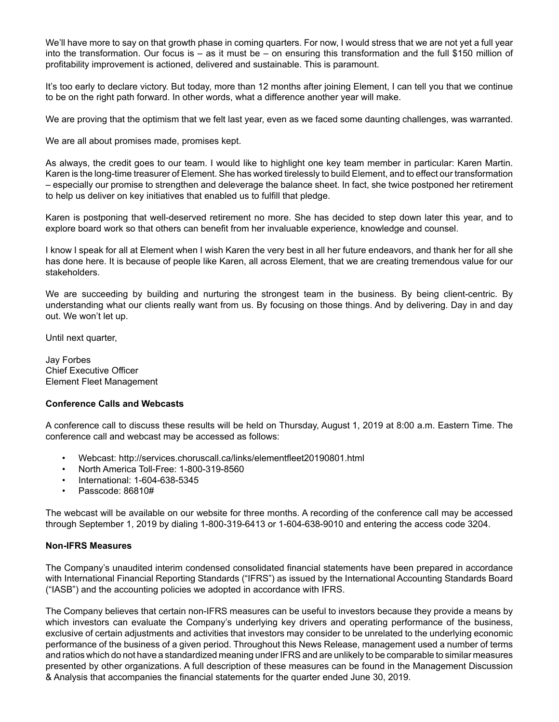We'll have more to say on that growth phase in coming quarters. For now, I would stress that we are not yet a full year into the transformation. Our focus is – as it must be – on ensuring this transformation and the full \$150 million of profitability improvement is actioned, delivered and sustainable. This is paramount.

It's too early to declare victory. But today, more than 12 months after joining Element, I can tell you that we continue to be on the right path forward. In other words, what a difference another year will make.

We are proving that the optimism that we felt last year, even as we faced some daunting challenges, was warranted.

We are all about promises made, promises kept.

As always, the credit goes to our team. I would like to highlight one key team member in particular: Karen Martin. Karen is the long-time treasurer of Element. She has worked tirelessly to build Element, and to effect our transformation – especially our promise to strengthen and deleverage the balance sheet. In fact, she twice postponed her retirement to help us deliver on key initiatives that enabled us to fulfill that pledge.

Karen is postponing that well-deserved retirement no more. She has decided to step down later this year, and to explore board work so that others can benefit from her invaluable experience, knowledge and counsel.

I know I speak for all at Element when I wish Karen the very best in all her future endeavors, and thank her for all she has done here. It is because of people like Karen, all across Element, that we are creating tremendous value for our stakeholders.

We are succeeding by building and nurturing the strongest team in the business. By being client-centric. By understanding what our clients really want from us. By focusing on those things. And by delivering. Day in and day out. We won't let up.

Until next quarter,

Jay Forbes Chief Executive Officer Element Fleet Management

## **Conference Calls and Webcasts**

A conference call to discuss these results will be held on Thursday, August 1, 2019 at 8:00 a.m. Eastern Time. The conference call and webcast may be accessed as follows:

- Webcast: http://services.choruscall.ca/links/elementfleet20190801.html
- North America Toll-Free: 1-800-319-8560
- International: 1-604-638-5345
- Passcode: 86810#

The webcast will be available on our website for three months. A recording of the conference call may be accessed through September 1, 2019 by dialing 1-800-319-6413 or 1-604-638-9010 and entering the access code 3204.

#### **Non-IFRS Measures**

The Company's unaudited interim condensed consolidated financial statements have been prepared in accordance with International Financial Reporting Standards ("IFRS") as issued by the International Accounting Standards Board ("IASB") and the accounting policies we adopted in accordance with IFRS.

The Company believes that certain non-IFRS measures can be useful to investors because they provide a means by which investors can evaluate the Company's underlying key drivers and operating performance of the business, exclusive of certain adjustments and activities that investors may consider to be unrelated to the underlying economic performance of the business of a given period. Throughout this News Release, management used a number of terms and ratios which do not have a standardized meaning under IFRS and are unlikely to be comparable to similar measures presented by other organizations. A full description of these measures can be found in the Management Discussion & Analysis that accompanies the financial statements for the quarter ended June 30, 2019.